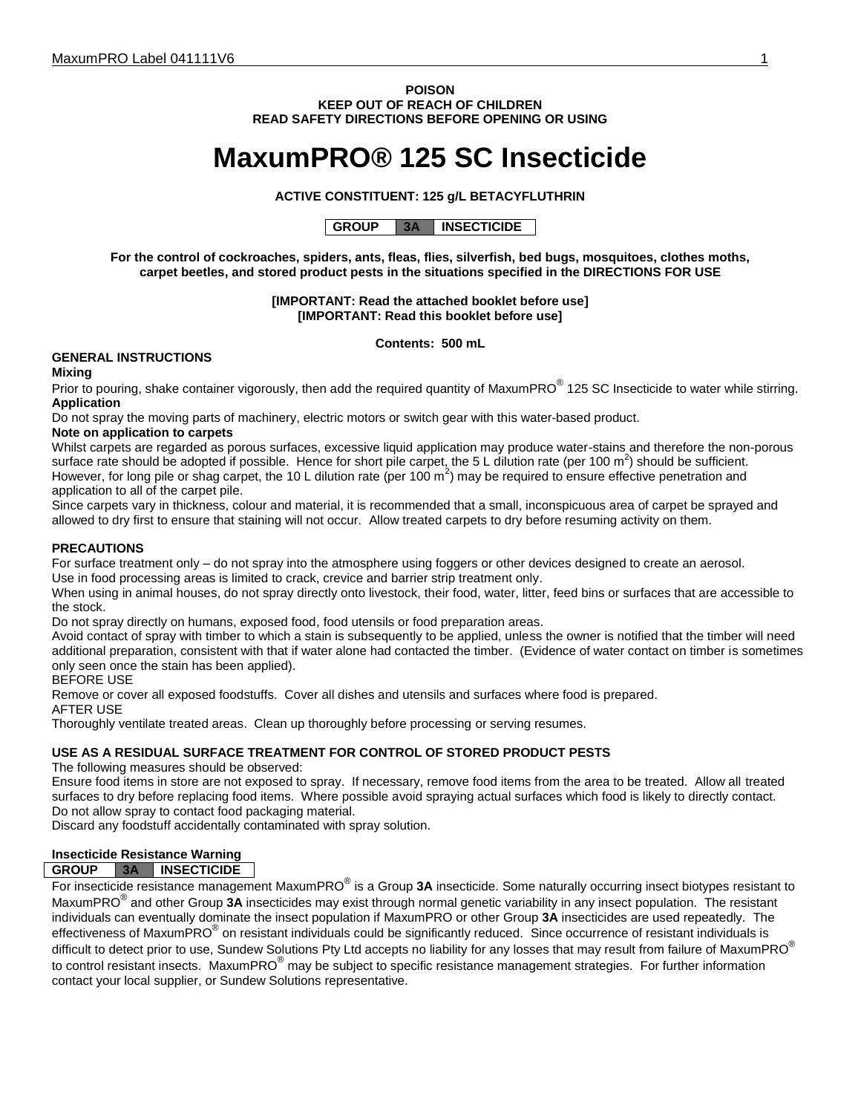**POISON KEEP OUT OF REACH OF CHILDREN READ SAFETY DIRECTIONS BEFORE OPENING OR USING**

# **MaxumPRO® 125 SC Insecticide**

# **ACTIVE CONSTITUENT: 125 g/L BETACYFLUTHRIN**

**GROUP 3A INSECTICIDE**

**For the control of cockroaches, spiders, ants, fleas, flies, silverfish, bed bugs, mosquitoes, clothes moths, carpet beetles, and stored product pests in the situations specified in the DIRECTIONS FOR USE**

> **[IMPORTANT: Read the attached booklet before use] [IMPORTANT: Read this booklet before use]**

> > **Contents: 500 mL**

# **GENERAL INSTRUCTIONS**

# **Mixing**

Prior to pouring, shake container vigorously, then add the required quantity of MaxumPRO<sup>®</sup> 125 SC Insecticide to water while stirring. **Application**

Do not spray the moving parts of machinery, electric motors or switch gear with this water-based product.

# **Note on application to carpets**

Whilst carpets are regarded as porous surfaces, excessive liquid application may produce water-stains and therefore the non-porous surface rate should be adopted if possible. Hence for short pile carpet, the 5 L dilution rate (per 100 m<sup>2</sup>) should be sufficient. However, for long pile or shag carpet, the 10 L dilution rate (per 100 m<sup>2</sup>) may be required to ensure effective penetration and application to all of the carpet pile.

Since carpets vary in thickness, colour and material, it is recommended that a small, inconspicuous area of carpet be sprayed and allowed to dry first to ensure that staining will not occur. Allow treated carpets to dry before resuming activity on them.

### **PRECAUTIONS**

For surface treatment only – do not spray into the atmosphere using foggers or other devices designed to create an aerosol.

Use in food processing areas is limited to crack, crevice and barrier strip treatment only.

When using in animal houses, do not spray directly onto livestock, their food, water, litter, feed bins or surfaces that are accessible to the stock.

Do not spray directly on humans, exposed food, food utensils or food preparation areas.

Avoid contact of spray with timber to which a stain is subsequently to be applied, unless the owner is notified that the timber will need additional preparation, consistent with that if water alone had contacted the timber. (Evidence of water contact on timber is sometimes only seen once the stain has been applied).

### BEFORE USE

Remove or cover all exposed foodstuffs. Cover all dishes and utensils and surfaces where food is prepared.

#### AFTER USE

Thoroughly ventilate treated areas. Clean up thoroughly before processing or serving resumes.

#### **USE AS A RESIDUAL SURFACE TREATMENT FOR CONTROL OF STORED PRODUCT PESTS**

The following measures should be observed:

Ensure food items in store are not exposed to spray. If necessary, remove food items from the area to be treated. Allow all treated surfaces to dry before replacing food items. Where possible avoid spraying actual surfaces which food is likely to directly contact. Do not allow spray to contact food packaging material.

Discard any foodstuff accidentally contaminated with spray solution.

# **Insecticide Resistance Warning**

#### **GROUP 3A INSECTICIDE**

For insecticide resistance management MaxumPRO® is a Group **3A** insecticide. Some naturally occurring insect biotypes resistant to MaxumPRO® and other Group **3A** insecticides may exist through normal genetic variability in any insect population. The resistant individuals can eventually dominate the insect population if MaxumPRO or other Group **3A** insecticides are used repeatedly. The effectiveness of MaxumPRO<sup>®</sup> on resistant individuals could be significantly reduced. Since occurrence of resistant individuals is difficult to detect prior to use, Sundew Solutions Pty Ltd accepts no liability for any losses that may result from failure of MaxumPRO<sup>®</sup> to control resistant insects. MaxumPRO® may be subject to specific resistance management strategies. For further information contact your local supplier, or Sundew Solutions representative.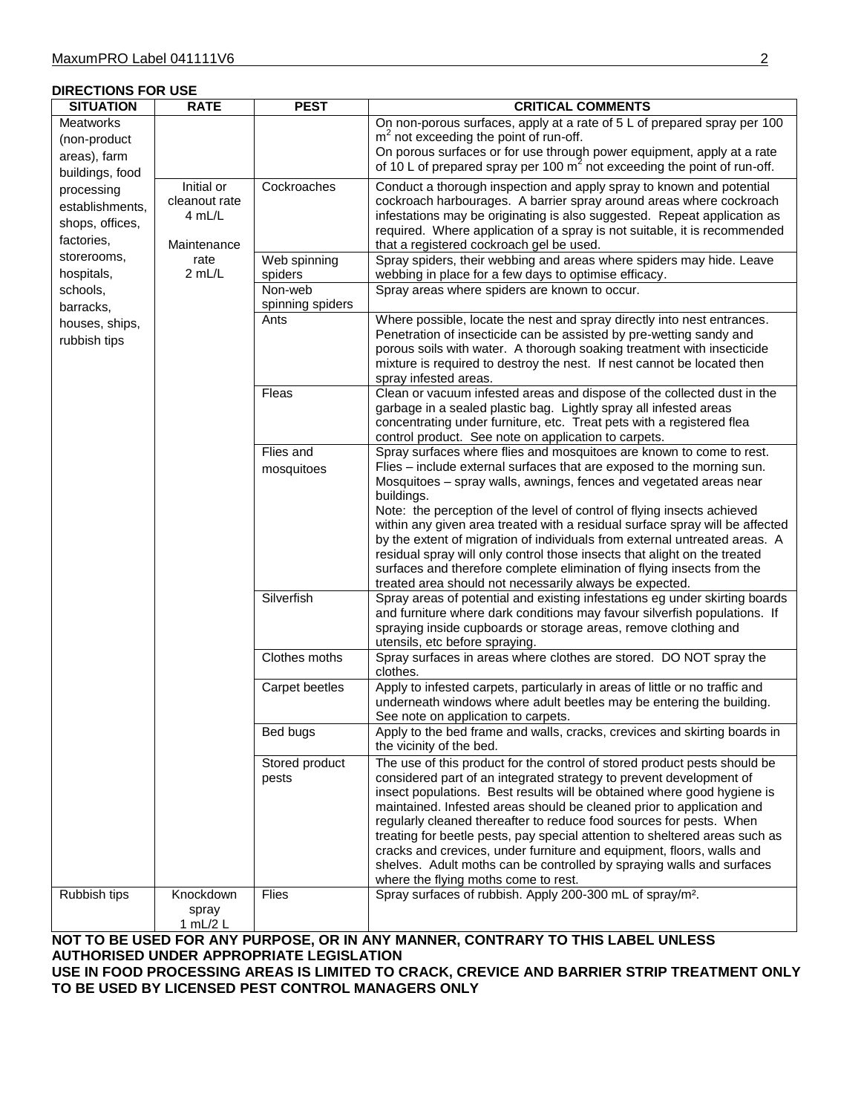# **DIRECTIONS FOR USE**

| <b>SITUATION</b>                                                                                                                                                                                                              | <b>RATE</b>                                          | <b>PEST</b>                 | <b>CRITICAL COMMENTS</b>                                                                                                                                                                                                                                                                                                                                                                                                                                                                                                                                                                                                                                                                      |
|-------------------------------------------------------------------------------------------------------------------------------------------------------------------------------------------------------------------------------|------------------------------------------------------|-----------------------------|-----------------------------------------------------------------------------------------------------------------------------------------------------------------------------------------------------------------------------------------------------------------------------------------------------------------------------------------------------------------------------------------------------------------------------------------------------------------------------------------------------------------------------------------------------------------------------------------------------------------------------------------------------------------------------------------------|
| <b>Meatworks</b><br>(non-product<br>areas), farm<br>buildings, food<br>processing<br>establishments,<br>shops, offices,<br>factories,<br>storerooms,<br>hospitals,<br>schools,<br>barracks,<br>houses, ships,<br>rubbish tips |                                                      |                             | On non-porous surfaces, apply at a rate of 5 L of prepared spray per 100<br>$m2$ not exceeding the point of run-off.<br>On porous surfaces or for use through power equipment, apply at a rate<br>of 10 L of prepared spray per 100 $m^2$ not exceeding the point of run-off.                                                                                                                                                                                                                                                                                                                                                                                                                 |
|                                                                                                                                                                                                                               | Initial or<br>cleanout rate<br>4 mL/L<br>Maintenance | Cockroaches                 | Conduct a thorough inspection and apply spray to known and potential<br>cockroach harbourages. A barrier spray around areas where cockroach<br>infestations may be originating is also suggested. Repeat application as<br>required. Where application of a spray is not suitable, it is recommended<br>that a registered cockroach gel be used.                                                                                                                                                                                                                                                                                                                                              |
|                                                                                                                                                                                                                               | rate<br>2 mL/L                                       | Web spinning<br>spiders     | Spray spiders, their webbing and areas where spiders may hide. Leave<br>webbing in place for a few days to optimise efficacy.                                                                                                                                                                                                                                                                                                                                                                                                                                                                                                                                                                 |
|                                                                                                                                                                                                                               |                                                      | Non-web<br>spinning spiders | Spray areas where spiders are known to occur.                                                                                                                                                                                                                                                                                                                                                                                                                                                                                                                                                                                                                                                 |
|                                                                                                                                                                                                                               |                                                      | Ants                        | Where possible, locate the nest and spray directly into nest entrances.<br>Penetration of insecticide can be assisted by pre-wetting sandy and<br>porous soils with water. A thorough soaking treatment with insecticide<br>mixture is required to destroy the nest. If nest cannot be located then<br>spray infested areas.                                                                                                                                                                                                                                                                                                                                                                  |
|                                                                                                                                                                                                                               |                                                      | Fleas                       | Clean or vacuum infested areas and dispose of the collected dust in the<br>garbage in a sealed plastic bag. Lightly spray all infested areas<br>concentrating under furniture, etc. Treat pets with a registered flea<br>control product. See note on application to carpets.                                                                                                                                                                                                                                                                                                                                                                                                                 |
|                                                                                                                                                                                                                               |                                                      | Flies and<br>mosquitoes     | Spray surfaces where flies and mosquitoes are known to come to rest.<br>Flies - include external surfaces that are exposed to the morning sun.<br>Mosquitoes - spray walls, awnings, fences and vegetated areas near<br>buildings.<br>Note: the perception of the level of control of flying insects achieved<br>within any given area treated with a residual surface spray will be affected<br>by the extent of migration of individuals from external untreated areas. A<br>residual spray will only control those insects that alight on the treated<br>surfaces and therefore complete elimination of flying insects from the<br>treated area should not necessarily always be expected. |
|                                                                                                                                                                                                                               |                                                      | Silverfish                  | Spray areas of potential and existing infestations eg under skirting boards<br>and furniture where dark conditions may favour silverfish populations. If<br>spraying inside cupboards or storage areas, remove clothing and<br>utensils, etc before spraying.                                                                                                                                                                                                                                                                                                                                                                                                                                 |
|                                                                                                                                                                                                                               |                                                      | Clothes moths               | Spray surfaces in areas where clothes are stored. DO NOT spray the<br>clothes.                                                                                                                                                                                                                                                                                                                                                                                                                                                                                                                                                                                                                |
|                                                                                                                                                                                                                               |                                                      | Carpet beetles              | Apply to infested carpets, particularly in areas of little or no traffic and<br>underneath windows where adult beetles may be entering the building.<br>See note on application to carpets.                                                                                                                                                                                                                                                                                                                                                                                                                                                                                                   |
|                                                                                                                                                                                                                               |                                                      | Bed bugs                    | Apply to the bed frame and walls, cracks, crevices and skirting boards in<br>the vicinity of the bed.                                                                                                                                                                                                                                                                                                                                                                                                                                                                                                                                                                                         |
|                                                                                                                                                                                                                               |                                                      | Stored product<br>pests     | The use of this product for the control of stored product pests should be<br>considered part of an integrated strategy to prevent development of<br>insect populations. Best results will be obtained where good hygiene is<br>maintained. Infested areas should be cleaned prior to application and<br>regularly cleaned thereafter to reduce food sources for pests. When<br>treating for beetle pests, pay special attention to sheltered areas such as<br>cracks and crevices, under furniture and equipment, floors, walls and<br>shelves. Adult moths can be controlled by spraying walls and surfaces<br>where the flying moths come to rest.                                          |
| Rubbish tips                                                                                                                                                                                                                  | Knockdown<br>spray<br>1 mL/2 L                       | $\overline{Flies}$          | Spray surfaces of rubbish. Apply 200-300 mL of spray/m <sup>2</sup> .                                                                                                                                                                                                                                                                                                                                                                                                                                                                                                                                                                                                                         |

# **NOT TO BE USED FOR ANY PURPOSE, OR IN ANY MANNER, CONTRARY TO THIS LABEL UNLESS AUTHORISED UNDER APPROPRIATE LEGISLATION**

**USE IN FOOD PROCESSING AREAS IS LIMITED TO CRACK, CREVICE AND BARRIER STRIP TREATMENT ONLY TO BE USED BY LICENSED PEST CONTROL MANAGERS ONLY**